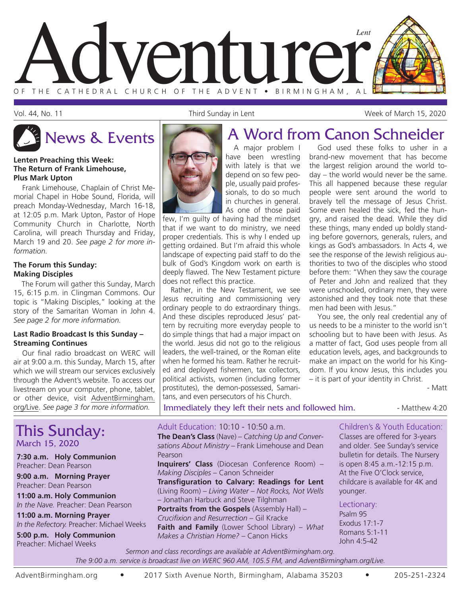

Vol. 44, No. 11 Third Sunday in Lent Week of March 15, 2020



#### **Lenten Preaching this Week: The Return of Frank Limehouse, Plus Mark Upton**

Frank Limehouse, Chaplain of Christ Memorial Chapel in Hobe Sound, Florida, will preach Monday-Wednesday, March 16-18, at 12:05 p.m. Mark Upton, Pastor of Hope Community Church in Charlotte, North Carolina, will preach Thursday and Friday, March 19 and 20. *See page 2 for more information.*

#### **The Forum this Sunday: Making Disciples**

The Forum will gather this Sunday, March 15, 6:15 p.m. in Clingman Commons. Our topic is "Making Disciples," looking at the story of the Samaritan Woman in John 4. *See page 2 for more information.*

#### **Last Radio Broadcast Is this Sunday – Streaming Continues**

Our final radio broadcast on WERC will air at 9:00 a.m. this Sunday, March 15, after which we will stream our services exclusively through the Advent's website. To access our livestream on your computer, phone, tablet, or other device, visit AdventBirmingham. org/Live. *See page 3 for more information.*

This Sunday: March 15, 2020 **7:30 a.m. Holy Communion** Preacher: Dean Pearson **9:00 a.m. Morning Prayer** Preacher: Dean Pearson **11:00 a.m. Holy Communion** *In the Nave.* Preacher: Dean Pearson Adult Education: 10:10 - 10:50 a.m.

**11:00 a.m. Morning Prayer** *In the Refectory.* Preacher: Michael Weeks

**5:00 p.m. Holy Communion** Preacher: Michael Weeks

## News & Events **A Word from Canon Schneider**

A major problem I have been wrestling with lately is that we depend on so few people, usually paid professionals, to do so much in churches in general. As one of those paid

few, I'm guilty of having had the mindset that if we want to do ministry, we need proper credentials. This is why I ended up getting ordained. But I'm afraid this whole landscape of expecting paid staff to do the bulk of God's Kingdom work on earth is deeply flawed. The New Testament picture does not reflect this practice.

Rather, in the New Testament, we see Jesus recruiting and commissioning very ordinary people to do extraordinary things. And these disciples reproduced Jesus' pattern by recruiting more everyday people to do simple things that had a major impact on the world. Jesus did not go to the religious leaders, the well-trained, or the Roman elite when he formed his team. Rather he recruited and deployed fishermen, tax collectors, political activists, women (including former prostitutes), the demon-possessed, Samaritans, and even persecutors of his Church.

God used these folks to usher in a brand-new movement that has become the largest religion around the world today – the world would never be the same. This all happened because these regular people were sent around the world to bravely tell the message of Jesus Christ. Some even healed the sick, fed the hungry, and raised the dead. While they did these things, many ended up boldly standing before governors, generals, rulers, and kings as God's ambassadors. In Acts 4, we see the response of the Jewish religious authorities to two of the disciples who stood before them: "When they saw the courage of Peter and John and realized that they were unschooled, ordinary men, they were astonished and they took note that these men had been with Jesus."

You see, the only real credential any of us needs to be a minister to the world isn't schooling but to have been with Jesus. As a matter of fact, God uses people from all education levels, ages, and backgrounds to make an impact on the world for his Kingdom. If you know Jesus, this includes you – it is part of your identity in Christ.

- Matt

Immediately they left their nets and followed him. **In Auditary 4:20** - Matthew 4:20

#### Children's & Youth Education:

**The Dean's Class** (Nave) – *Catching Up and Conversations About Ministry* – Frank Limehouse and Dean Pearson **Inquirers' Class** (Diocesan Conference Room) – *Making Disciples* – Canon Schneider **Transfiguration to Calvary: Readings for Lent** (Living Room) – *Living Water – Not Rocks, Not Wells* 

– Jonathan Harbuck and Steve Tilghman **Portraits from the Gospels** (Assembly Hall) – *Crucifixion and Resurrection* – Gil Kracke **Faith and Family** (Lower School Library) – *What Makes a Christian Home?* – Canon Hicks

Classes are offered for 3-years and older. See Sunday's service bulletin for details. The Nursery is open 8:45 a.m.-12:15 p.m. At the Five O'Clock service, childcare is available for 4K and younger.

Lectionary:

Psalm 95 Exodus 17:1-7 Romans 5:1-11 John 4:5-42

*Sermon and class recordings are available at AdventBirmingham.org. The 9:00 a.m. service is broadcast live on WERC 960 AM, 105.5 FM, and AdventBirmingham.org/Live.*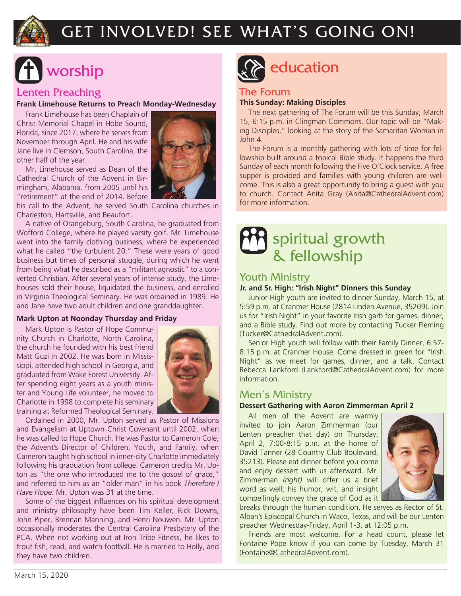

## GET INVOLVED! SEE WHAT'S GOING ON!

#### Lenten Preaching

**Frank Limehouse Returns to Preach Monday-Wednesday**

Frank Limehouse has been Chaplain of Christ Memorial Chapel in Hobe Sound, Florida, since 2017, where he serves from November through April. He and his wife Jane live in Clemson, South Carolina, the other half of the year.

Mr. Limehouse served as Dean of the Cathedral Church of the Advent in Birmingham, Alabama, from 2005 until his "retirement" at the end of 2014. Before



A native of Orangeburg, South Carolina, he graduated from Wofford College, where he played varsity golf. Mr. Limehouse went into the family clothing business, where he experienced what he called "the turbulent 20." These were years of good business but times of personal stuggle, during which he went from being what he described as a "militant agnostic" to a converted Christian. After several years of intense study, the Limehouses sold their house, liquidated the business, and enrolled in Virginia Theological Seminary. He was ordained in 1989. He and Jane have two adult children and one granddaughter.

#### **Mark Upton at Noonday Thursday and Friday**

Mark Upton is Pastor of Hope Community Church in Charlotte, North Carolina, the church he founded with his best friend Matt Guzi in 2002. He was born in Mississippi, attended high school in Georgia, and graduated from Wake Forest University. After spending eight years as a youth minister and Young Life volunteer, he moved to Charlotte in 1998 to complete his seminary training at Reformed Theological Seminary.



Ordained in 2000, Mr. Upton served as Pastor of Missions and Evangelism at Uptown Christ Covenant until 2002, when he was called to Hope Church. He was Pastor to Cameron Cole, the Advent's Director of Children, Youth, and Family, when Cameron taught high school in inner-city Charlotte immediately following his graduation from college. Cameron credits Mr. Upton as "the one who introduced me to the gospel of grace," and referred to him as an "older man" in his book *Therefore I Have Hope*. Mr. Upton was 31 at the time.

Some of the biggest influences on his spiritual development and ministry philosophy have been Tim Keller, Rick Downs, John Piper, Brennan Manning, and Henri Nouwen. Mr. Upton occasionally moderates the Central Carolina Presbytery of the PCA. When not working out at Iron Tribe Fitness, he likes to trout fish, read, and watch football. He is married to Holly, and they have two children.



# worship education

#### The Forum

#### **This Sunday: Making Disciples**

The next gathering of The Forum will be this Sunday, March 15, 6:15 p.m. in Clingman Commons. Our topic will be "Making Disciples," looking at the story of the Samaritan Woman in John 4.

The Forum is a monthly gathering with lots of time for fellowship built around a topical Bible study. It happens the third Sunday of each month following the Five O'Clock service. A free supper is provided and families with young children are welcome. This is also a great opportunity to bring a guest with you to church. Contact Anita Gray (Anita@CathedralAdvent.com) for more information.

## spiritual growth & fellowship

#### Youth Ministry

#### **Jr. and Sr. High: "Irish Night" Dinners this Sunday**

Junior High youth are invited to dinner Sunday, March 15, at 5:59 p.m. at Cranmer House (2814 Linden Avenue, 35209). Join us for "Irish Night" in your favorite Irish garb for games, dinner, and a Bible study. Find out more by contacting Tucker Fleming (Tucker@CathedralAdvent.com).

Senior High youth will follow with their Family Dinner, 6:57- 8:15 p.m. at Cranmer House. Come dressed in green for "Irish Night" as we meet for games, dinner, and a talk. Contact Rebecca Lankford (Lankford@CathedralAdvent.com) for more information.

#### Men's Ministry

#### **Dessert Gathering with Aaron Zimmerman April 2**

All men of the Advent are warmly invited to join Aaron Zimmerman (our Lenten preacher that day) on Thursday, April 2, 7:00-8:15 p.m. at the home of David Tanner (28 Country Club Boulevard, 35213). Please eat dinner before you come and enjoy dessert with us afterward. Mr. Zimmerman *(right)* will offer us a brief word as well; his humor, wit, and insight compellingly convey the grace of God as it



breaks through the human condition. He serves as Rector of St. Alban's Episcopal Church in Waco, Texas, and will be our Lenten preacher Wednesday-Friday, April 1-3, at 12:05 p.m.

Friends are most welcome. For a head count, please let Fontaine Pope know if you can come by Tuesday, March 31 (Fontaine@CathedralAdvent.com).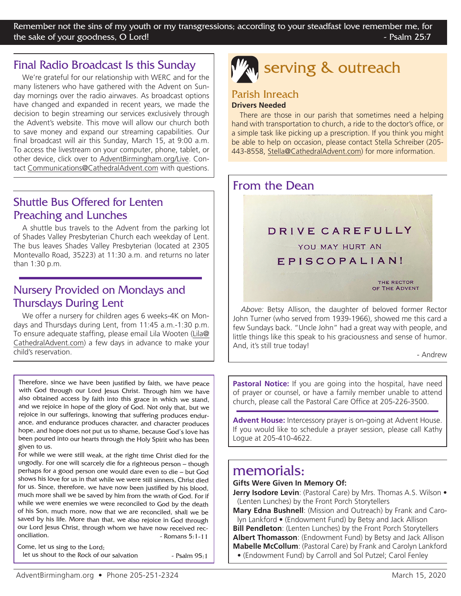#### Final Radio Broadcast Is this Sunday

We're grateful for our relationship with WERC and for the many listeners who have gathered with the Advent on Sunday mornings over the radio airwaves. As broadcast options have changed and expanded in recent years, we made the decision to begin streaming our services exclusively through the Advent's website. This move will allow our church both to save money and expand our streaming capabilities. Our final broadcast will air this Sunday, March 15, at 9:00 a.m. To access the livestream on your computer, phone, tablet, or other device, click over to AdventBirmingham.org/Live. Contact Communications@CathedralAdvent.com with questions.

#### Shuttle Bus Offered for Lenten Preaching and Lunches

A shuttle bus travels to the Advent from the parking lot of Shades Valley Presbyterian Church each weekday of Lent. The bus leaves Shades Valley Presbyterian (located at 2305 Montevallo Road, 35223) at 11:30 a.m. and returns no later than 1:30 p.m.

#### Nursery Provided on Mondays and Thursdays During Lent

We offer a nursery for children ages 6 weeks-4K on Mondays and Thursdays during Lent, from 11:45 a.m.-1:30 p.m. To ensure adequate staffing, please email Lila Wooten (Lila@ CathedralAdvent.com) a few days in advance to make your child's reservation.

Therefore, since we have been justified by faith, we have peace with God through our Lord Jesus Christ. Through him we have also obtained access by faith into this grace in which we stand, and we rejoice in hope of the glory of God. Not only that, but we rejoice in our sufferings, knowing that suffering produces endurance, and endurance produces character, and character produces hope, and hope does not put us to shame, because God's love has been poured into our hearts through the Holy Spirit who has been given to us.

For while we were still weak, at the right time Christ died for the ungodly. For one will scarcely die for a righteous person – though perhaps for a good person one would dare even to die – but God shows his love for us in that while we were still sinners, Christ died for us. Since, therefore, we have now been justified by his blood, much more shall we be saved by him from the wrath of God. For if while we were enemies we were reconciled to God by the death of his Son, much more, now that we are reconciled, shall we be saved by his life. More than that, we also rejoice in God through our Lord Jesus Christ, through whom we have now received reconciliation.  $\blacksquare$ 

Come, let us sing to the Lord; let us shout to the Rock of our salvation - Psalm 95:1 **serving & outreach** 

#### Parish Inreach **Drivers Needed**

There are those in our parish that sometimes need a helping hand with transportation to church, a ride to the doctor's office, or a simple task like picking up a prescription. If you think you might be able to help on occasion, please contact Stella Schreiber (205- 443-8558, Stella@CathedralAdvent.com) for more information.

#### From the Dean

#### DRIVE CAREFULLY

YOU MAY HURT AN

EPISCOPALIAN!

THE RECTOR OF THE ADVENT

*Above:* Betsy Allison, the daughter of beloved former Rector John Turner (who served from 1939-1966), showed me this card a few Sundays back. "Uncle John" had a great way with people, and little things like this speak to his graciousness and sense of humor. And, it's still true today!

- Andrew

**Pastoral Notice:** If you are going into the hospital, have need of prayer or counsel, or have a family member unable to attend church, please call the Pastoral Care Office at 205-226-3500.

**Advent House:** Intercessory prayer is on-going at Advent House. If you would like to schedule a prayer session, please call Kathy Logue at 205-410-4622.

#### memorials:

#### **Gifts Were Given In Memory Of:**

**Jerry Isodore Levin**: (Pastoral Care) by Mrs. Thomas A.S. Wilson • (Lenten Lunches) by the Front Porch Storytellers

**Mary Edna Bushnell**: (Mission and Outreach) by Frank and Carolyn Lankford • (Endowment Fund) by Betsy and Jack Allison **Bill Pendleton**: (Lenten Lunches) by the Front Porch Storytellers **Albert Thomasson**: (Endowment Fund) by Betsy and Jack Allison **Mabelle McCollum**: (Pastoral Care) by Frank and Carolyn Lankford • (Endowment Fund) by Carroll and Sol Putzel; Carol Fenley